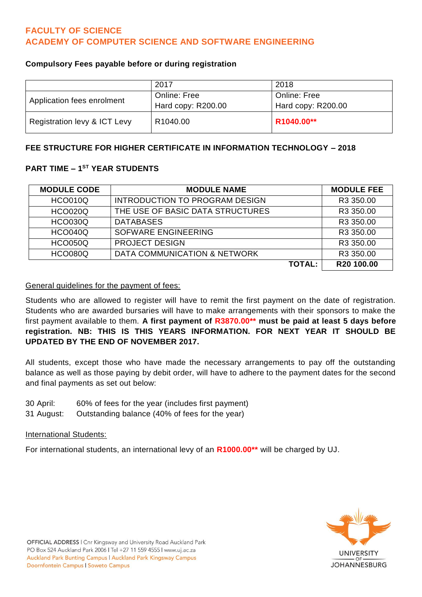# **FACULTY OF SCIENCE ACADEMY OF COMPUTER SCIENCE AND SOFTWARE ENGINEERING**

### **Compulsory Fees payable before or during registration**

|                              | 2017                 | 2018                |
|------------------------------|----------------------|---------------------|
| Application fees enrolment   | <b>Online: Free</b>  | <b>Online: Free</b> |
|                              | Hard copy: R200.00   | Hard copy: R200.00  |
| Registration levy & ICT Levy | R <sub>1040.00</sub> | R1040.00**          |

### **FEE STRUCTURE FOR HIGHER CERTIFICATE IN INFORMATION TECHNOLOGY – 2018**

## **PART TIME – 1 ST YEAR STUDENTS**

| <b>MODULE CODE</b> | <b>MODULE NAME</b>               | <b>MODULE FEE</b> |
|--------------------|----------------------------------|-------------------|
| <b>HCO010Q</b>     | INTRODUCTION TO PROGRAM DESIGN   | R3 350.00         |
| <b>HCO020Q</b>     | THE USE OF BASIC DATA STRUCTURES | R3 350.00         |
| <b>HCO030Q</b>     | <b>DATABASES</b>                 | R3 350.00         |
| <b>HCO040Q</b>     | <b>SOFWARE ENGINEERING</b>       | R3 350.00         |
| <b>HCO050Q</b>     | <b>PROJECT DESIGN</b>            | R3 350.00         |
| <b>HCO080Q</b>     | DATA COMMUNICATION & NETWORK     | R3 350.00         |
|                    | <b>TOTAL:</b>                    | R20 100.00        |

### General guidelines for the payment of fees:

Students who are allowed to register will have to remit the first payment on the date of registration. Students who are awarded bursaries will have to make arrangements with their sponsors to make the first payment available to them. **A first payment of R3870.00\*\* must be paid at least 5 days before registration. NB: THIS IS THIS YEARS INFORMATION. FOR NEXT YEAR IT SHOULD BE UPDATED BY THE END OF NOVEMBER 2017.**

All students, except those who have made the necessary arrangements to pay off the outstanding balance as well as those paying by debit order, will have to adhere to the payment dates for the second and final payments as set out below:

- 30 April: 60% of fees for the year (includes first payment)
- 31 August: Outstanding balance (40% of fees for the year)

#### International Students:

For international students, an international levy of an **R1000.00\*\*** will be charged by UJ.